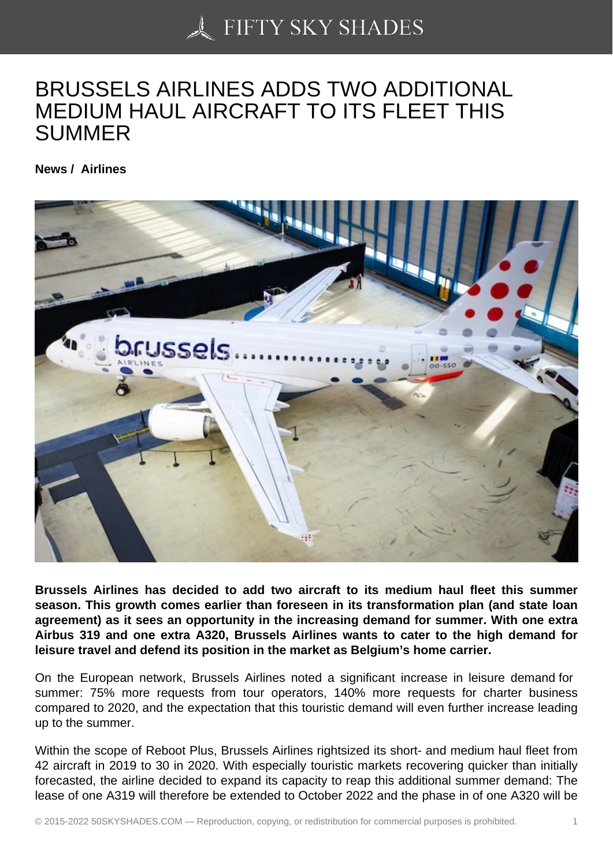## [BRUSSELS AIRLINES](https://50skyshades.com) ADDS TWO ADDITIONAL MEDIUM HAUL AIRCRAFT TO ITS FLEET THIS SUMMER

News / Airlines

Brussels Airlines has decided to add two aircraft to its medium haul fleet this summer season. This growth comes earlier than foreseen in its transformation plan (and state loan agreement) as it sees an opportunity in the increasing demand for summer. With one extra Airbus 319 and one extra A320, Brussels Airlines wants to cater to the high demand for leisure travel and defend its position in the market as Belgium's home carrier.

On the European network, Brussels Airlines noted a significant increase in leisure demand for summer: 75% more requests from tour operators, 140% more requests for charter business compared to 2020, and the expectation that this touristic demand will even further increase leading up to the summer.

Within the scope of Reboot Plus, Brussels Airlines rightsized its short- and medium haul fleet from 42 aircraft in 2019 to 30 in 2020. With especially touristic markets recovering quicker than initially forecasted, the airline decided to expand its capacity to reap this additional summer demand: The lease of one A319 will therefore be extended to October 2022 and the phase in of one A320 will be